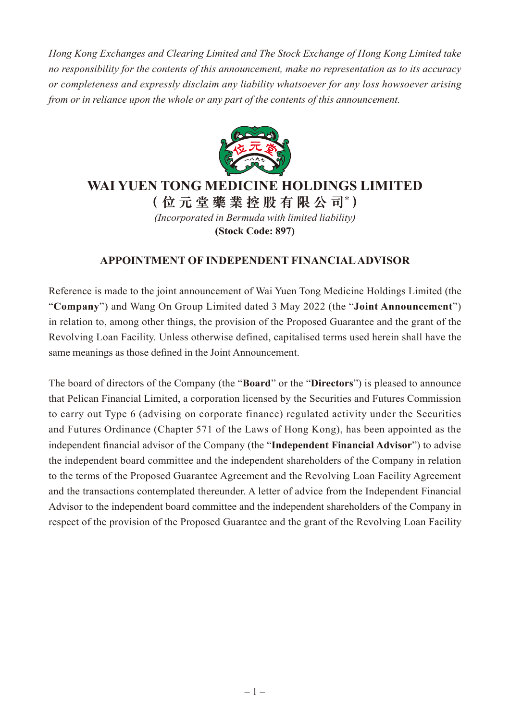*Hong Kong Exchanges and Clearing Limited and The Stock Exchange of Hong Kong Limited take no responsibility for the contents of this announcement, make no representation as to its accuracy or completeness and expressly disclaim any liability whatsoever for any loss howsoever arising from or in reliance upon the whole or any part of the contents of this announcement.*



## **WAI YUEN TONG MEDICINE HOLDINGS LIMITED**

**(位元堂藥業控股有限公司\* )** *(Incorporated in Bermuda with limited liability)* **(Stock Code: 897)**

## **APPOINTMENT OF INDEPENDENT FINANCIAL ADVISOR**

Reference is made to the joint announcement of Wai Yuen Tong Medicine Holdings Limited (the "**Company**") and Wang On Group Limited dated 3 May 2022 (the "**Joint Announcement**") in relation to, among other things, the provision of the Proposed Guarantee and the grant of the Revolving Loan Facility. Unless otherwise defined, capitalised terms used herein shall have the same meanings as those defined in the Joint Announcement.

The board of directors of the Company (the "**Board**" or the "**Directors**") is pleased to announce that Pelican Financial Limited, a corporation licensed by the Securities and Futures Commission to carry out Type 6 (advising on corporate finance) regulated activity under the Securities and Futures Ordinance (Chapter 571 of the Laws of Hong Kong), has been appointed as the independent financial advisor of the Company (the "**Independent Financial Advisor**") to advise the independent board committee and the independent shareholders of the Company in relation to the terms of the Proposed Guarantee Agreement and the Revolving Loan Facility Agreement and the transactions contemplated thereunder. A letter of advice from the Independent Financial Advisor to the independent board committee and the independent shareholders of the Company in respect of the provision of the Proposed Guarantee and the grant of the Revolving Loan Facility